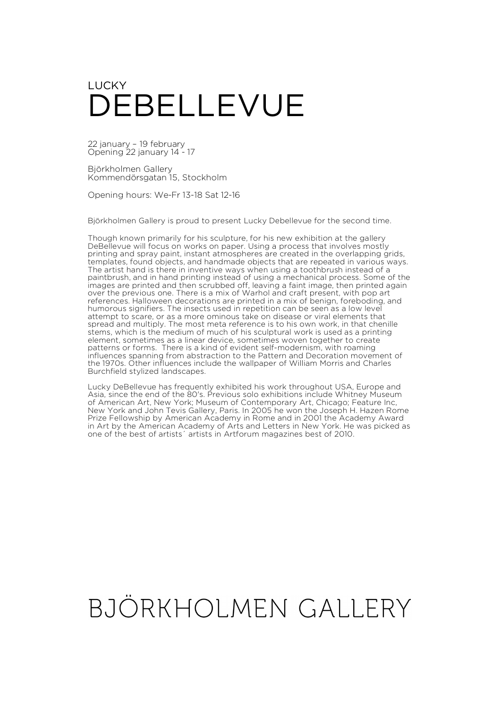## LUCKY DEBELLEVUE

22 january – 19 february Opening 22 january 14 - 17

Björkholmen Gallery Kommendörsgatan 15, Stockholm

Opening hours: We-Fr 13-18 Sat 12-16

Björkholmen Gallery is proud to present Lucky Debellevue for the second time.

Though known primarily for his sculpture, for his new exhibition at the gallery DeBellevue will focus on works on paper. Using a process that involves mostly printing and spray paint, instant atmospheres are created in the overlapping grids, templates, found objects, and handmade objects that are repeated in various ways. The artist hand is there in inventive ways when using a toothbrush instead of a paintbrush, and in hand printing instead of using a mechanical process. Some of the images are printed and then scrubbed off, leaving a faint image, then printed again over the previous one. There is a mix of Warhol and craft present, with pop art references. Halloween decorations are printed in a mix of benign, foreboding, and humorous signifiers. The insects used in repetition can be seen as a low level attempt to scare, or as a more ominous take on disease or viral elements that spread and multiply. The most meta reference is to his own work, in that chenille stems, which is the medium of much of his sculptural work is used as a printing element, sometimes as a linear device, sometimes woven together to create patterns or forms. There is a kind of evident self-modernism, with roaming influences spanning from abstraction to the Pattern and Decoration movement of the 1970s. Other influences include the wallpaper of William Morris and Charles Burchfield stylized landscapes.

Lucky DeBellevue has frequently exhibited his work throughout USA, Europe and Asia, since the end of the 80's. Previous solo exhibitions include Whitney Museum of American Art, New York; Museum of Contemporary Art, Chicago; Feature Inc, New York and John Tevis Gallery, Paris. In 2005 he won the Joseph H. Hazen Rome Prize Fellowship by American Academy in Rome and in 2001 the Academy Award in Art by the American Academy of Arts and Letters in New York. He was picked as one of the best of artists´ artists in Artforum magazines best of 2010.

## BJÖRKHOLMEN GALLERY